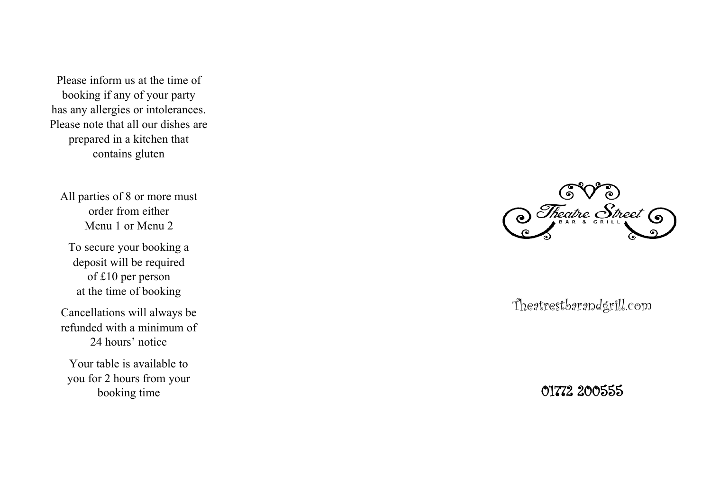Please inform us at the time of booking if any of your party has any allergies or intolerances. Please note that all our dishes are prepared in a kitchen that contains gluten

All parties of 8 or more must order from either Menu 1 or Menu 2

To secure your booking a deposit will be required of £10 per person at the time of booking

Cancellations will always be refunded with a minimum of 24 hours' notice

Your table is available to you for 2 hours from your booking time



Theatrestbarandgrill.com

01772 200555